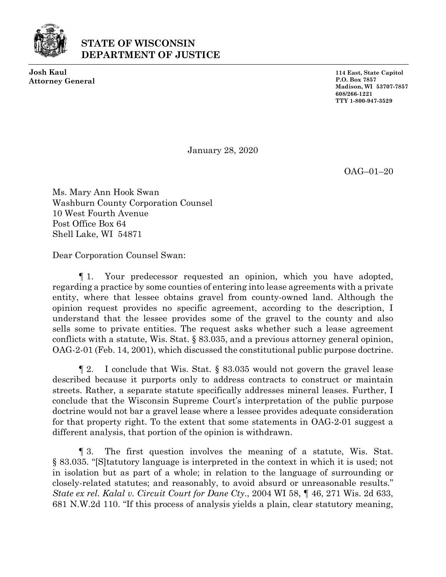

## **STATE OF WISCONSIN DEPARTMENT OF JUSTICE**

**Josh Kaul Attorney General**

**114 East, State Capitol P.O. Box 7857 Madison, WI 53707-7857 608/266-1221 TTY 1-800-947-3529**

January 28, 2020

OAG–01–20

Ms. Mary Ann Hook Swan Washburn County Corporation Counsel 10 West Fourth Avenue Post Office Box 64 Shell Lake, WI 54871

Dear Corporation Counsel Swan:

¶ 1. Your predecessor requested an opinion, which you have adopted, regarding a practice by some counties of entering into lease agreements with a private entity, where that lessee obtains gravel from county-owned land. Although the opinion request provides no specific agreement, according to the description, I understand that the lessee provides some of the gravel to the county and also sells some to private entities. The request asks whether such a lease agreement conflicts with a statute, Wis. Stat. § 83.035, and a previous attorney general opinion, OAG-2-01 (Feb. 14, 2001), which discussed the constitutional public purpose doctrine.

¶ 2. I conclude that Wis. Stat. § 83.035 would not govern the gravel lease described because it purports only to address contracts to construct or maintain streets. Rather, a separate statute specifically addresses mineral leases. Further, I conclude that the Wisconsin Supreme Court's interpretation of the public purpose doctrine would not bar a gravel lease where a lessee provides adequate consideration for that property right. To the extent that some statements in OAG-2-01 suggest a different analysis, that portion of the opinion is withdrawn.

¶ 3. The first question involves the meaning of a statute, Wis. Stat. § 83.035. "[S]tatutory language is interpreted in the context in which it is used; not in isolation but as part of a whole; in relation to the language of surrounding or closely-related statutes; and reasonably, to avoid absurd or unreasonable results." *State ex rel. Kalal v. Circuit Court for Dane Cty*., 2004 WI 58, ¶ 46, 271 Wis. 2d 633, 681 N.W.2d 110. "If this process of analysis yields a plain, clear statutory meaning,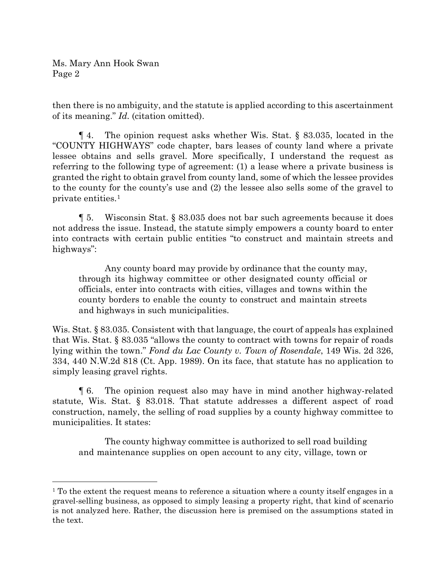then there is no ambiguity, and the statute is applied according to this ascertainment of its meaning." *Id.* (citation omitted).

¶ 4. The opinion request asks whether Wis. Stat. § 83.035, located in the "COUNTY HIGHWAYS" code chapter, bars leases of county land where a private lessee obtains and sells gravel. More specifically, I understand the request as referring to the following type of agreement: (1) a lease where a private business is granted the right to obtain gravel from county land, some of which the lessee provides to the county for the county's use and (2) the lessee also sells some of the gravel to private entities.[1](#page-1-0)

¶ 5. Wisconsin Stat. § 83.035 does not bar such agreements because it does not address the issue. Instead, the statute simply empowers a county board to enter into contracts with certain public entities "to construct and maintain streets and highways":

Any county board may provide by ordinance that the county may, through its highway committee or other designated county official or officials, enter into contracts with cities, villages and towns within the county borders to enable the county to construct and maintain streets and highways in such municipalities.

Wis. Stat. § 83.035. Consistent with that language, the court of appeals has explained that Wis. Stat. § 83.035 "allows the county to contract with towns for repair of roads lying within the town." *Fond du Lac County v. Town of Rosendale*, 149 Wis. 2d 326, 334, 440 N.W.2d 818 (Ct. App. 1989). On its face, that statute has no application to simply leasing gravel rights.

¶ 6. The opinion request also may have in mind another highway-related statute, Wis. Stat. § 83.018. That statute addresses a different aspect of road construction, namely, the selling of road supplies by a county highway committee to municipalities. It states:

The county highway committee is authorized to sell road building and maintenance supplies on open account to any city, village, town or

<span id="page-1-0"></span> $1$ <sup>1</sup> To the extent the request means to reference a situation where a county itself engages in a gravel-selling business, as opposed to simply leasing a property right, that kind of scenario is not analyzed here. Rather, the discussion here is premised on the assumptions stated in the text.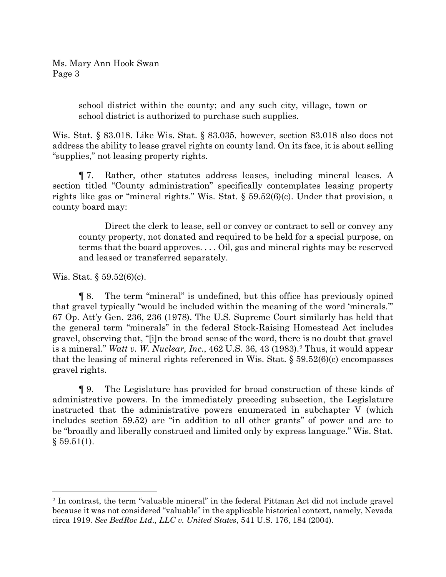> school district within the county; and any such city, village, town or school district is authorized to purchase such supplies.

Wis. Stat. § 83.018. Like Wis. Stat. § 83.035, however, section 83.018 also does not address the ability to lease gravel rights on county land. On its face, it is about selling "supplies," not leasing property rights.

¶ 7. Rather, other statutes address leases, including mineral leases. A section titled "County administration" specifically contemplates leasing property rights like gas or "mineral rights." Wis. Stat. § 59.52(6)(c). Under that provision, a county board may:

Direct the clerk to lease, sell or convey or contract to sell or convey any county property, not donated and required to be held for a special purpose, on terms that the board approves. . . . Oil, gas and mineral rights may be reserved and leased or transferred separately.

Wis. Stat. § 59.52(6)(c).

¶ 8. The term "mineral" is undefined, but this office has previously opined that gravel typically "would be included within the meaning of the word 'minerals.'" 67 Op. Att'y Gen. 236, 236 (1978). The U.S. Supreme Court similarly has held that the general term "minerals" in the federal Stock-Raising Homestead Act includes gravel, observing that, "[i]n the broad sense of the word, there is no doubt that gravel is a mineral." *Watt v. W. Nuclear, Inc.*, 462 U.S. 36, 43 (1983).[2](#page-2-0) Thus, it would appear that the leasing of mineral rights referenced in Wis. Stat.  $\S 59.52(6)(c)$  encompasses gravel rights.

¶ 9. The Legislature has provided for broad construction of these kinds of administrative powers. In the immediately preceding subsection, the Legislature instructed that the administrative powers enumerated in subchapter V (which includes section 59.52) are "in addition to all other grants" of power and are to be "broadly and liberally construed and limited only by express language." Wis. Stat.  $§ 59.51(1).$ 

<span id="page-2-0"></span><sup>&</sup>lt;sup>2</sup> In contrast, the term "valuable mineral" in the federal Pittman Act did not include gravel because it was not considered "valuable" in the applicable historical context, namely, Nevada circa 1919. *See BedRoc Ltd., LLC v. United States*, 541 U.S. 176, 184 (2004).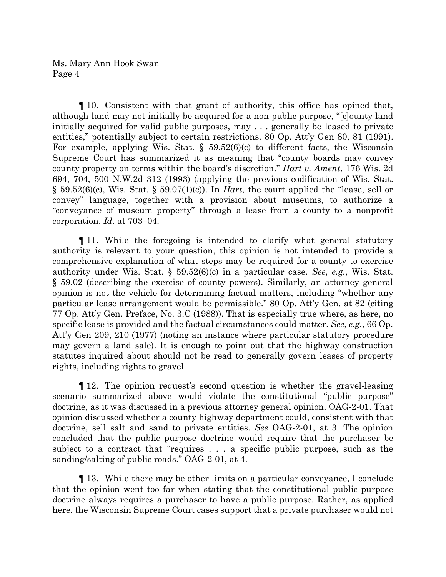¶ 10. Consistent with that grant of authority, this office has opined that, although land may not initially be acquired for a non-public purpose, "[c]ounty land initially acquired for valid public purposes, may . . . generally be leased to private entities," potentially subject to certain restrictions. 80 Op. Att'y Gen 80, 81 (1991). For example, applying Wis. Stat.  $\S$  59.52(6)(c) to different facts, the Wisconsin Supreme Court has summarized it as meaning that "county boards may convey county property on terms within the board's discretion." *Hart v. Ament*, 176 Wis. 2d 694, 704, 500 N.W.2d 312 (1993) (applying the previous codification of Wis. Stat. § 59.52(6)(c), Wis. Stat. § 59.07(1)(c)). In *Hart*, the court applied the "lease, sell or convey" language, together with a provision about museums, to authorize a "conveyance of museum property" through a lease from a county to a nonprofit corporation. *Id.* at 703–04*.*

¶ 11. While the foregoing is intended to clarify what general statutory authority is relevant to your question, this opinion is not intended to provide a comprehensive explanation of what steps may be required for a county to exercise authority under Wis. Stat. § 59.52(6)(c) in a particular case. *See*, *e.g.*, Wis. Stat. § 59.02 (describing the exercise of county powers). Similarly, an attorney general opinion is not the vehicle for determining factual matters, including "whether any particular lease arrangement would be permissible." 80 Op. Att'y Gen. at 82 (citing 77 Op. Att'y Gen. Preface, No. 3.C (1988)). That is especially true where, as here, no specific lease is provided and the factual circumstances could matter. *See*, *e.g.*, 66 Op. Att'y Gen 209, 210 (1977) (noting an instance where particular statutory procedure may govern a land sale). It is enough to point out that the highway construction statutes inquired about should not be read to generally govern leases of property rights, including rights to gravel.

¶ 12. The opinion request's second question is whether the gravel-leasing scenario summarized above would violate the constitutional "public purpose" doctrine, as it was discussed in a previous attorney general opinion, OAG-2-01. That opinion discussed whether a county highway department could, consistent with that doctrine, sell salt and sand to private entities. *See* OAG-2-01, at 3. The opinion concluded that the public purpose doctrine would require that the purchaser be subject to a contract that "requires . . . a specific public purpose, such as the sanding/salting of public roads." OAG-2-01, at 4.

¶ 13. While there may be other limits on a particular conveyance, I conclude that the opinion went too far when stating that the constitutional public purpose doctrine always requires a purchaser to have a public purpose. Rather, as applied here, the Wisconsin Supreme Court cases support that a private purchaser would not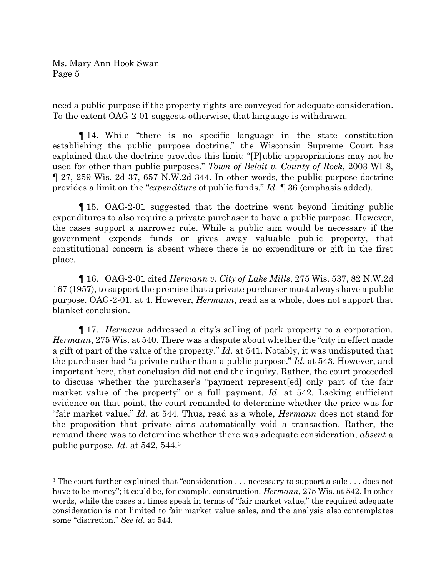need a public purpose if the property rights are conveyed for adequate consideration. To the extent OAG-2-01 suggests otherwise, that language is withdrawn.

¶ 14. While "there is no specific language in the state constitution establishing the public purpose doctrine," the Wisconsin Supreme Court has explained that the doctrine provides this limit: "[P]ublic appropriations may not be used for other than public purposes." *Town of Beloit v. County of Rock*, 2003 WI 8, ¶ 27, 259 Wis. 2d 37, 657 N.W.2d 344. In other words, the public purpose doctrine provides a limit on the "*expenditure* of public funds." *Id.* ¶ 36 (emphasis added).

¶ 15. OAG-2-01 suggested that the doctrine went beyond limiting public expenditures to also require a private purchaser to have a public purpose. However, the cases support a narrower rule. While a public aim would be necessary if the government expends funds or gives away valuable public property, that constitutional concern is absent where there is no expenditure or gift in the first place.

¶ 16. OAG-2-01 cited *Hermann v. City of Lake Mills*, 275 Wis. 537, 82 N.W.2d 167 (1957), to support the premise that a private purchaser must always have a public purpose. OAG-2-01, at 4. However, *Hermann*, read as a whole, does not support that blanket conclusion.

¶ 17. *Hermann* addressed a city's selling of park property to a corporation. *Hermann*, 275 Wis. at 540. There was a dispute about whether the "city in effect made a gift of part of the value of the property." *Id.* at 541. Notably, it was undisputed that the purchaser had "a private rather than a public purpose." *Id.* at 543. However, and important here, that conclusion did not end the inquiry. Rather, the court proceeded to discuss whether the purchaser's "payment represent[ed] only part of the fair market value of the property" or a full payment. *Id.* at 542. Lacking sufficient evidence on that point, the court remanded to determine whether the price was for "fair market value." *Id.* at 544. Thus, read as a whole, *Hermann* does not stand for the proposition that private aims automatically void a transaction. Rather, the remand there was to determine whether there was adequate consideration, *absent* a public purpose. *Id.* at 542, 544.[3](#page-4-0)

<span id="page-4-0"></span><sup>&</sup>lt;sup>3</sup> The court further explained that "consideration . . . necessary to support a sale . . . does not have to be money"; it could be, for example, construction. *Hermann*, 275 Wis. at 542. In other words, while the cases at times speak in terms of "fair market value," the required adequate consideration is not limited to fair market value sales, and the analysis also contemplates some "discretion." *See id.* at 544.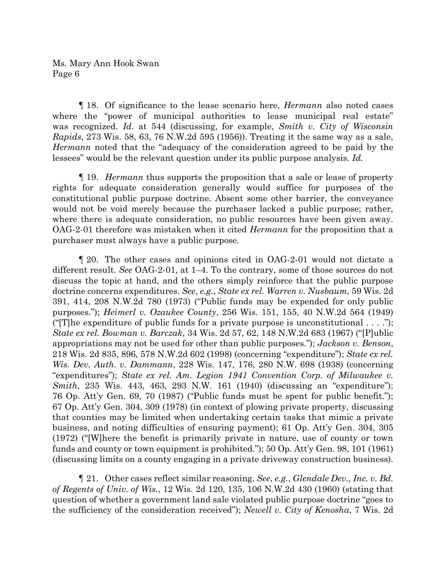¶ 18. Of significance to the lease scenario here, *Hermann* also noted cases where the "power of municipal authorities to lease municipal real estate" was recognized. *Id.* at 544 (discussing, for example, *Smith v. City of Wisconsin Rapids*, 273 Wis. 58, 63, 76 N.W.2d 595 (1956)). Treating it the same way as a sale, *Hermann* noted that the "adequacy of the consideration agreed to be paid by the lessees" would be the relevant question under its public purpose analysis. *Id.* 

¶ 19. *Hermann* thus supports the proposition that a sale or lease of property rights for adequate consideration generally would suffice for purposes of the constitutional public purpose doctrine. Absent some other barrier, the conveyance would not be void merely because the purchaser lacked a public purpose; rather, where there is adequate consideration, no public resources have been given away. OAG-2-01 therefore was mistaken when it cited *Hermann* for the proposition that a purchaser must always have a public purpose.

¶ 20. The other cases and opinions cited in OAG-2-01 would not dictate a different result. *See* OAG-2-01, at 1–4. To the contrary, some of those sources do not discuss the topic at hand, and the others simply reinforce that the public purpose doctrine concerns expenditures. *See*, *e.g.*, *State ex rel. Warren v. Nusbaum*, 59 Wis. 2d 391, 414, 208 N.W.2d 780 (1973) ("Public funds may be expended for only public purposes."); *Heimerl v. Ozaukee County*, 256 Wis. 151, 155, 40 N.W.2d 564 (1949) ("T]he expenditure of public funds for a private purpose is unconstitutional  $\dots$ "); *State ex rel. Bowman v. Barczak*, 34 Wis. 2d 57, 62, 148 N.W.2d 683 (1967) ("[P]ublic appropriations may not be used for other than public purposes."); *Jackson v. Benson*, 218 Wis. 2d 835, 896, 578 N.W.2d 602 (1998) (concerning "expenditure"); *State ex rel. Wis. Dev. Auth. v. Dammann*, 228 Wis. 147, 176, 280 N.W. 698 (1938) (concerning "expenditures"); *State ex rel. Am. Legion 1941 Convention Corp. of Milwaukee v. Smith*, 235 Wis. 443, 463, 293 N.W. 161 (1940) (discussing an "expenditure"); 76 Op. Att'y Gen. 69, 70 (1987) ("Public funds must be spent for public benefit."); 67 Op. Att'y Gen. 304, 309 (1978) (in context of plowing private property, discussing that counties may be limited when undertaking certain tasks that mimic a private business, and noting difficulties of ensuring payment); 61 Op. Att'y Gen. 304, 305 (1972) ("[W]here the benefit is primarily private in nature, use of county or town funds and county or town equipment is prohibited."); 50 Op. Att'y Gen. 98, 101 (1961) (discussing limits on a county engaging in a private driveway construction business).

¶ 21. Other cases reflect similar reasoning. *See*, *e.g.*, *Glendale Dev., Inc. v. Bd. of Regents of Univ. of Wis.*, 12 Wis. 2d 120, 135, 106 N.W.2d 430 (1960) (stating that question of whether a government land sale violated public purpose doctrine "goes to the sufficiency of the consideration received"); *Newell v. City of Kenosha*, 7 Wis. 2d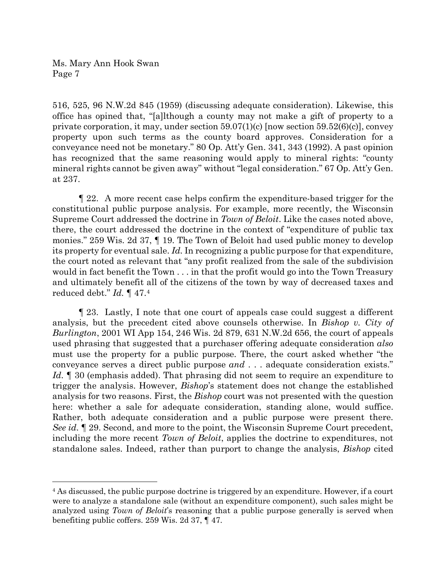516, 525, 96 N.W.2d 845 (1959) (discussing adequate consideration). Likewise, this office has opined that, "[a]lthough a county may not make a gift of property to a private corporation, it may, under section  $59.07(1)(c)$  [now section  $59.52(6)(c)$ ], convey property upon such terms as the county board approves. Consideration for a conveyance need not be monetary." 80 Op. Att'y Gen. 341, 343 (1992). A past opinion has recognized that the same reasoning would apply to mineral rights: "county mineral rights cannot be given away" without "legal consideration." 67 Op. Att'y Gen. at 237.

¶ 22. A more recent case helps confirm the expenditure-based trigger for the constitutional public purpose analysis. For example, more recently, the Wisconsin Supreme Court addressed the doctrine in *Town of Beloit*. Like the cases noted above, there, the court addressed the doctrine in the context of "expenditure of public tax monies." 259 Wis. 2d 37, ¶ 19. The Town of Beloit had used public money to develop its property for eventual sale. *Id.* In recognizing a public purpose for that expenditure, the court noted as relevant that "any profit realized from the sale of the subdivision would in fact benefit the Town . . . in that the profit would go into the Town Treasury and ultimately benefit all of the citizens of the town by way of decreased taxes and reduced debt." *Id.* ¶ 47[.4](#page-6-0)

¶ 23. Lastly, I note that one court of appeals case could suggest a different analysis, but the precedent cited above counsels otherwise. In *Bishop v. City of Burlington*, 2001 WI App 154, 246 Wis. 2d 879, 631 N.W.2d 656, the court of appeals used phrasing that suggested that a purchaser offering adequate consideration *also* must use the property for a public purpose. There, the court asked whether "the conveyance serves a direct public purpose *and* . . . adequate consideration exists." *Id.* ¶ 30 (emphasis added). That phrasing did not seem to require an expenditure to trigger the analysis. However, *Bishop*'s statement does not change the established analysis for two reasons. First, the *Bishop* court was not presented with the question here: whether a sale for adequate consideration, standing alone, would suffice. Rather, both adequate consideration and a public purpose were present there. *See id.* ¶ 29. Second, and more to the point, the Wisconsin Supreme Court precedent, including the more recent *Town of Beloit*, applies the doctrine to expenditures, not standalone sales. Indeed, rather than purport to change the analysis, *Bishop* cited

<span id="page-6-0"></span><sup>&</sup>lt;sup>4</sup> As discussed, the public purpose doctrine is triggered by an expenditure. However, if a court were to analyze a standalone sale (without an expenditure component), such sales might be analyzed using *Town of Beloit*'s reasoning that a public purpose generally is served when benefiting public coffers. 259 Wis. 2d 37, ¶ 47.